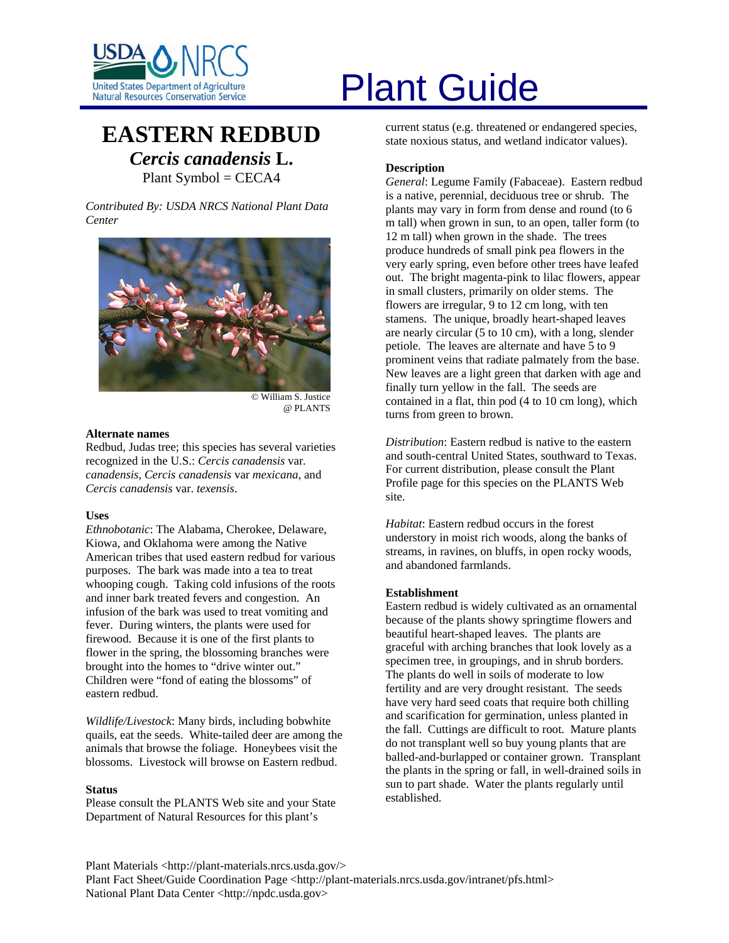

# **EASTERN REDBUD** *Cercis canadensis* **L.** Plant Symbol = CECA4

*Contributed By: USDA NRCS National Plant Data Center* 



© William S. Justice @ PLANTS

# **Alternate names**

Redbud, Judas tree; this species has several varieties recognized in the U.S.: *Cercis canadensis* var*. canadensis*, *Cercis canadensis* var *mexicana*, and *Cercis canadensis* var. *texensis*.

#### **Uses**

*Ethnobotanic*: The Alabama, Cherokee, Delaware, Kiowa, and Oklahoma were among the Native American tribes that used eastern redbud for various purposes. The bark was made into a tea to treat whooping cough. Taking cold infusions of the roots and inner bark treated fevers and congestion. An infusion of the bark was used to treat vomiting and fever. During winters, the plants were used for firewood. Because it is one of the first plants to flower in the spring, the blossoming branches were brought into the homes to "drive winter out." Children were "fond of eating the blossoms" of eastern redbud.

*Wildlife/Livestock*: Many birds, including bobwhite quails, eat the seeds. White-tailed deer are among the animals that browse the foliage. Honeybees visit the blossoms. Livestock will browse on Eastern redbud.

#### **Status**

Please consult the PLANTS Web site and your State Department of Natural Resources for this plant's

# United States Department of Agriculture<br>Natural Resources Conservation Service

current status (e.g. threatened or endangered species, state noxious status, and wetland indicator values).

## **Description**

*General*: Legume Family (Fabaceae). Eastern redbud is a native, perennial, deciduous tree or shrub. The plants may vary in form from dense and round (to 6 m tall) when grown in sun, to an open, taller form (to 12 m tall) when grown in the shade. The trees produce hundreds of small pink pea flowers in the very early spring, even before other trees have leafed out. The bright magenta-pink to lilac flowers, appear in small clusters, primarily on older stems. The flowers are irregular, 9 to 12 cm long, with ten stamens. The unique, broadly heart-shaped leaves are nearly circular (5 to 10 cm), with a long, slender petiole. The leaves are alternate and have 5 to 9 prominent veins that radiate palmately from the base. New leaves are a light green that darken with age and finally turn yellow in the fall. The seeds are contained in a flat, thin pod (4 to 10 cm long), which turns from green to brown.

*Distribution*: Eastern redbud is native to the eastern and south-central United States, southward to Texas. For current distribution, please consult the Plant Profile page for this species on the PLANTS Web site.

*Habitat*: Eastern redbud occurs in the forest understory in moist rich woods, along the banks of streams, in ravines, on bluffs, in open rocky woods, and abandoned farmlands.

# **Establishment**

Eastern redbud is widely cultivated as an ornamental because of the plants showy springtime flowers and beautiful heart-shaped leaves. The plants are graceful with arching branches that look lovely as a specimen tree, in groupings, and in shrub borders. The plants do well in soils of moderate to low fertility and are very drought resistant. The seeds have very hard seed coats that require both chilling and scarification for germination, unless planted in the fall. Cuttings are difficult to root. Mature plants do not transplant well so buy young plants that are balled-and-burlapped or container grown. Transplant the plants in the spring or fall, in well-drained soils in sun to part shade. Water the plants regularly until established.

Plant Materials <http://plant-materials.nrcs.usda.gov/> Plant Fact Sheet/Guide Coordination Page <http://plant-materials.nrcs.usda.gov/intranet/pfs.html> National Plant Data Center <http://npdc.usda.gov>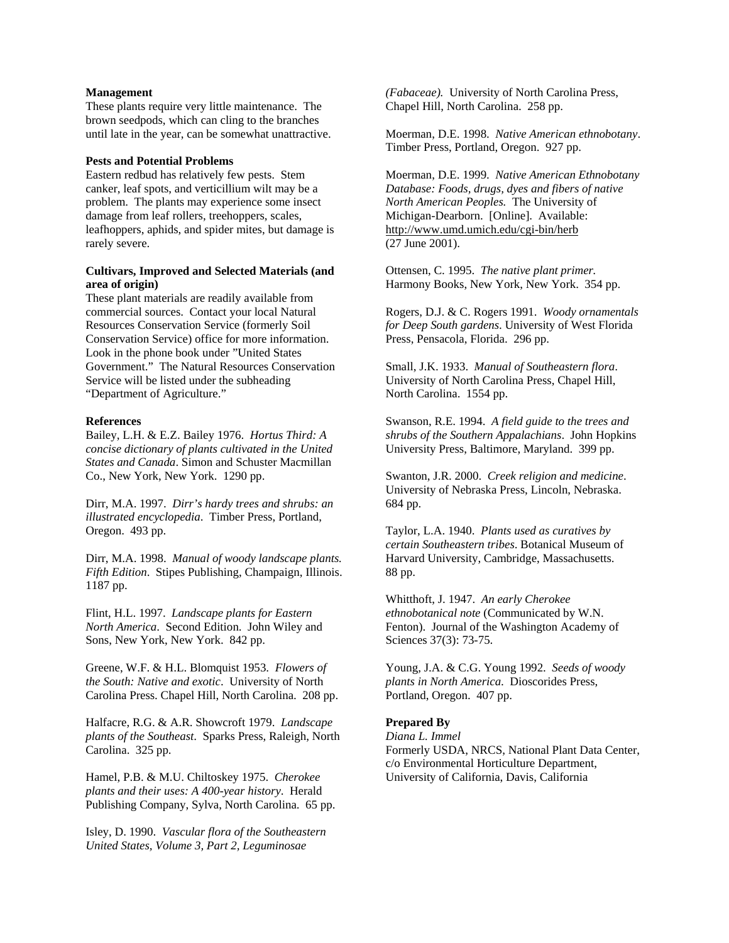#### **Management**

These plants require very little maintenance. The brown seedpods, which can cling to the branches until late in the year, can be somewhat unattractive.

#### **Pests and Potential Problems**

Eastern redbud has relatively few pests. Stem canker, leaf spots, and verticillium wilt may be a problem. The plants may experience some insect damage from leaf rollers, treehoppers, scales, leafhoppers, aphids, and spider mites, but damage is rarely severe.

# **Cultivars, Improved and Selected Materials (and area of origin)**

These plant materials are readily available from commercial sources. Contact your local Natural Resources Conservation Service (formerly Soil Conservation Service) office for more information. Look in the phone book under "United States Government." The Natural Resources Conservation Service will be listed under the subheading "Department of Agriculture."

#### **References**

Bailey, L.H. & E.Z. Bailey 1976. *Hortus Third: A concise dictionary of plants cultivated in the United States and Canada*. Simon and Schuster Macmillan Co., New York, New York. 1290 pp.

Dirr, M.A. 1997. *Dirr's hardy trees and shrubs: an illustrated encyclopedia*. Timber Press, Portland, Oregon. 493 pp.

Dirr, M.A. 1998. *Manual of woody landscape plants. Fifth Edition*. Stipes Publishing, Champaign, Illinois. 1187 pp.

Flint, H.L. 1997. *Landscape plants for Eastern North America*. Second Edition. John Wiley and Sons, New York, New York. 842 pp.

Greene, W.F. & H.L. Blomquist 1953. *Flowers of the South: Native and exotic*. University of North Carolina Press. Chapel Hill, North Carolina. 208 pp.

Halfacre, R.G. & A.R. Showcroft 1979. *Landscape plants of the Southeast*. Sparks Press, Raleigh, North Carolina. 325 pp.

Hamel, P.B. & M.U. Chiltoskey 1975. *Cherokee plants and their uses: A 400-year history*. Herald Publishing Company, Sylva, North Carolina. 65 pp.

Isley, D. 1990. *Vascular flora of the Southeastern United States, Volume 3, Part 2, Leguminosae* 

*(Fabaceae).* University of North Carolina Press, Chapel Hill, North Carolina. 258 pp.

Moerman, D.E. 1998. *Native American ethnobotany*. Timber Press, Portland, Oregon. 927 pp.

Moerman, D.E. 1999. *Native American Ethnobotany Database: Foods, drugs, dyes and fibers of native North American Peoples.* The University of Michigan-Dearborn.[Online]. Available: <http://www.umd.umich.edu/cgi-bin/herb> (27 June 2001).

Ottensen, C. 1995. *The native plant primer.*  Harmony Books, New York, New York. 354 pp.

Rogers, D.J. & C. Rogers 1991. *Woody ornamentals for Deep South gardens*. University of West Florida Press, Pensacola, Florida. 296 pp.

Small, J.K. 1933. *Manual of Southeastern flora*. University of North Carolina Press, Chapel Hill, North Carolina. 1554 pp.

Swanson, R.E. 1994. *A field guide to the trees and shrubs of the Southern Appalachians*. John Hopkins University Press, Baltimore, Maryland. 399 pp.

Swanton, J.R. 2000. *Creek religion and medicine*. University of Nebraska Press, Lincoln, Nebraska. 684 pp.

Taylor, L.A. 1940. *Plants used as curatives by certain Southeastern tribes*. Botanical Museum of Harvard University, Cambridge, Massachusetts. 88 pp.

Whitthoft, J. 1947. *An early Cherokee ethnobotanical note* (Communicated by W.N. Fenton). Journal of the Washington Academy of Sciences 37(3): 73-75.

Young, J.A. & C.G. Young 1992. *Seeds of woody plants in North America*. Dioscorides Press, Portland, Oregon. 407 pp.

#### **Prepared By**

*Diana L. Immel*  Formerly USDA, NRCS, National Plant Data Center, c/o Environmental Horticulture Department, University of California, Davis, California